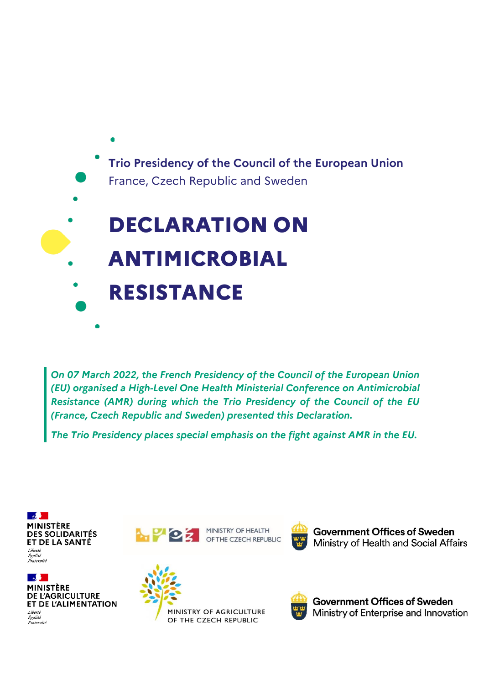

*On 07 March 2022, the French Presidency of the Council of the European Union (EU) organised a High-Level One Health Ministerial Conference on Antimicrobial Resistance (AMR) during which the Trio Presidency of the Council of the EU (France, Czech Republic and Sweden) presented this Declaration.* 

*The Trio Presidency places special emphasis on the fight against AMR in the EU.* 



 $\mathbb{R}$ **MINISTÈRE DE L'AGRICULTURE** ET DE L'ALIMENTATION Liberté Egalité<br>Égalité<br>Fraternité



MINISTRY OF HEALTH OF THE CZECH REPUBLIC



**Government Offices of Sweden** Ministry of Health and Social Affairs





**Government Offices of Sweden** Ministry of Enterprise and Innovation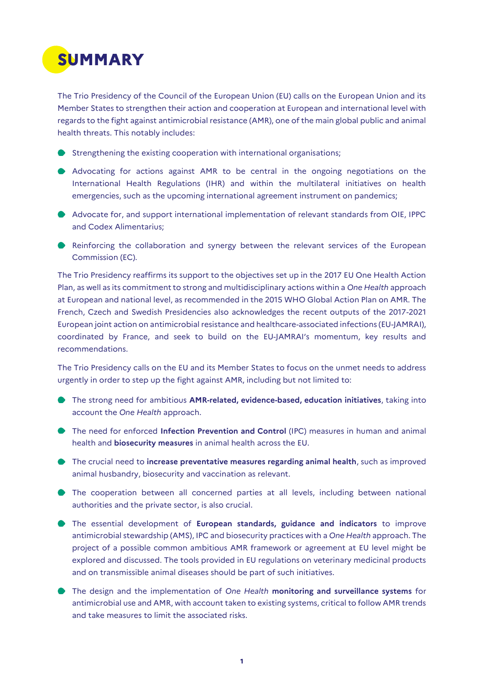

The Trio Presidency of the Council of the European Union (EU) calls on the European Union and its Member States to strengthen their action and cooperation at European and international level with regards to the fight against antimicrobial resistance (AMR), one of the main global public and animal health threats. This notably includes:

- $\blacktriangleright$  Strengthening the existing cooperation with international organisations;
- Advocating for actions against AMR to be central in the ongoing negotiations on the International Health Regulations (IHR) and within the multilateral initiatives on health emergencies, such as the upcoming international agreement instrument on pandemics;
- Advocate for, and support international implementation of relevant standards from OIE, IPPC and Codex Alimentarius;
- Reinforcing the collaboration and synergy between the relevant services of the European Commission (EC).

The Trio Presidency reaffirms its support to the objectives set up in the 2017 EU One Health Action Plan, as well as its commitment to strong and multidisciplinary actions within a *One Health* approach at European and national level, as recommended in the 2015 WHO Global Action Plan on AMR. The French, Czech and Swedish Presidencies also acknowledges the recent outputs of the 2017-2021 European joint action on antimicrobial resistance and healthcare-associated infections (EU-JAMRAI), coordinated by France, and seek to build on the EU-JAMRAI's momentum, key results and recommendations.

The Trio Presidency calls on the EU and its Member States to focus on the unmet needs to address urgently in order to step up the fight against AMR, including but not limited to:

- The strong need for ambitious **AMR-related, evidence-based, education initiatives**, taking into account the *One Health* approach.
- The need for enforced **Infection Prevention and Control** (IPC) measures in human and animal health and **biosecurity measures** in animal health across the EU.
- The crucial need to **increase preventative measures regarding animal health**, such as improved animal husbandry, biosecurity and vaccination as relevant.
- The cooperation between all concerned parties at all levels, including between national authorities and the private sector, is also crucial.
- The essential development of **European standards, guidance and indicators** to improve antimicrobial stewardship (AMS), IPC and biosecurity practices with a *One Health* approach. The project of a possible common ambitious AMR framework or agreement at EU level might be explored and discussed. The tools provided in EU regulations on veterinary medicinal products and on transmissible animal diseases should be part of such initiatives.
- The design and the implementation of *One Health* **monitoring and surveillance systems** for antimicrobial use and AMR, with account taken to existing systems, critical to follow AMR trends and take measures to limit the associated risks.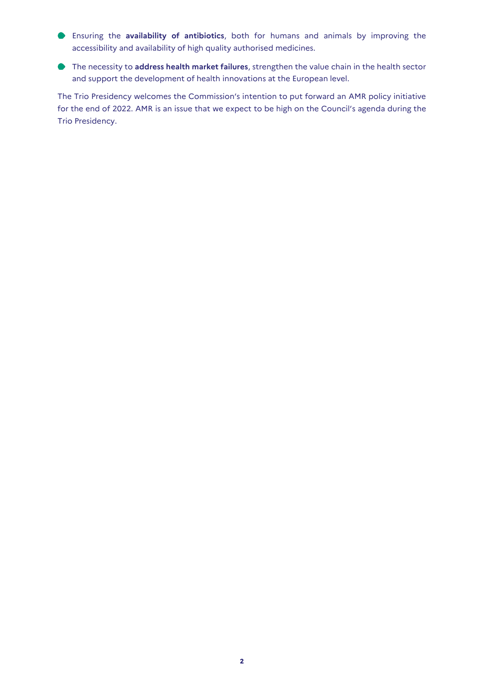- Ensuring the **availability of antibiotics**, both for humans and animals by improving the accessibility and availability of high quality authorised medicines.
- The necessity to **address health market failures**, strengthen the value chain in the health sector and support the development of health innovations at the European level.

The Trio Presidency welcomes the Commission's intention to put forward an AMR policy initiative for the end of 2022. AMR is an issue that we expect to be high on the Council's agenda during the Trio Presidency.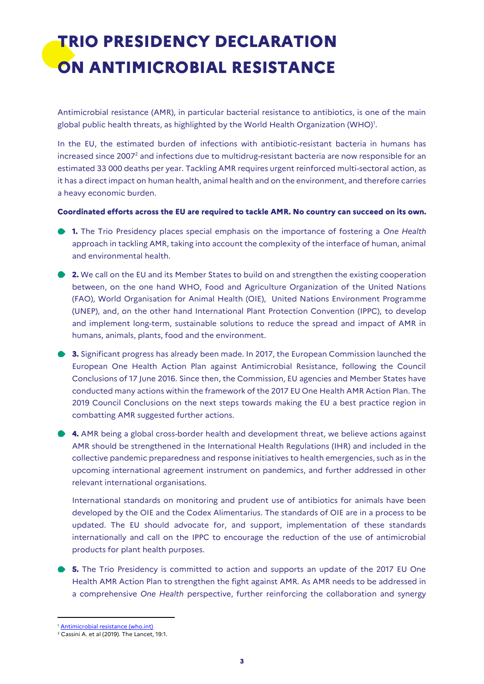## **TRIO PRESIDENCY DECLARATION ON ANTIMICROBIAL RESISTANCE**

Antimicrobial resistance (AMR), in particular bacterial resistance to antibiotics, is one of the main global public health threats, as highlighted by the World Health Organization (WHO)<sup>1</sup>.

In the EU, the estimated burden of infections with antibiotic-resistant bacteria in humans has increased since 2007<sup>2</sup> and infections due to multidrug-resistant bacteria are now responsible for an estimated 33 000 deaths per year. Tackling AMR requires urgent reinforced multi-sectoral action, as it has a direct impact on human health, animal health and on the environment, and therefore carries a heavy economic burden.

## **Coordinated efforts across the EU are required to tackle AMR. No country can succeed on its own.**

- **1.** The Trio Presidency places special emphasis on the importance of fostering a *One Health* approach in tackling AMR, taking into account the complexity of the interface of human, animal and environmental health.
- **2.** We call on the EU and its Member States to build on and strengthen the existing cooperation between, on the one hand WHO, Food and Agriculture Organization of the United Nations (FAO), World Organisation for Animal Health (OIE), United Nations Environment Programme (UNEP), and, on the other hand International Plant Protection Convention (IPPC), to develop and implement long-term, sustainable solutions to reduce the spread and impact of AMR in humans, animals, plants, food and the environment.
- **3.** Significant progress has already been made. In 2017, the European Commission launched the European One Health Action Plan against Antimicrobial Resistance, following the Council Conclusions of 17 June 2016. Since then, the Commission, EU agencies and Member States have conducted many actions within the framework of the 2017 EU One Health AMR Action Plan. The 2019 Council Conclusions on the next steps towards making the EU a best practice region in combatting AMR suggested further actions.
- **4.** AMR being a global cross-border health and development threat, we believe actions against AMR should be strengthened in the International Health Regulations (IHR) and included in the collective pandemic preparedness and response initiatives to health emergencies, such as in the upcoming international agreement instrument on pandemics, and further addressed in other relevant international organisations.

International standards on monitoring and prudent use of antibiotics for animals have been developed by the OIE and the Codex Alimentarius. The standards of OIE are in a process to be updated. The EU should advocate for, and support, implementation of these standards internationally and call on the IPPC to encourage the reduction of the use of antimicrobial products for plant health purposes.

**5.** The Trio Presidency is committed to action and supports an update of the 2017 EU One Health AMR Action Plan to strengthen the fight against AMR. As AMR needs to be addressed in a comprehensive *One Health* perspective, further reinforcing the collaboration and synergy

**.** 

<sup>&</sup>lt;sup>1</sup> [Antimicrobial resistance \(who.int\)](https://www.who.int/news-room/fact-sheets/detail/antimicrobial-resistance#:~:text=Antimicrobial%20resistance%20(AMR)%20is%20a,public%20health%20threats%20facing%20humanity.)

 $2\overline{\text{Cassini}}$  A. et al (2019). The Lancet, 19:1.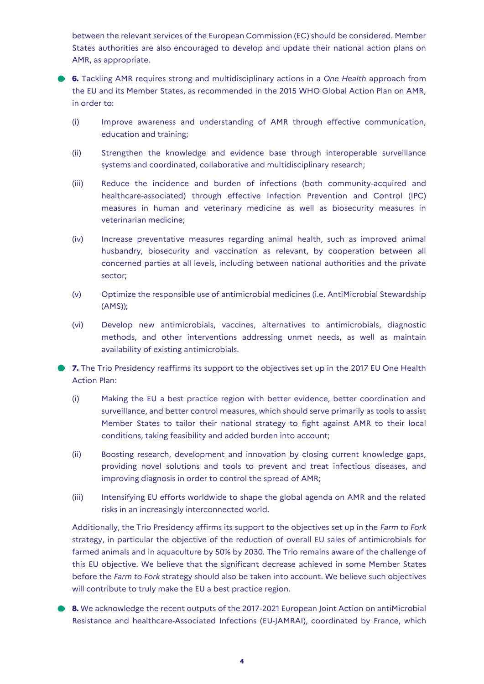between the relevant services of the European Commission (EC) should be considered. Member States authorities are also encouraged to develop and update their national action plans on AMR, as appropriate.

**6.** Tackling AMR requires strong and multidisciplinary actions in a *One Health* approach from the EU and its Member States, as recommended in the 2015 WHO Global Action Plan on AMR, in order to:

- (i) Improve awareness and understanding of AMR through effective communication, education and training;
- (ii) Strengthen the knowledge and evidence base through interoperable surveillance systems and coordinated, collaborative and multidisciplinary research;
- (iii) Reduce the incidence and burden of infections (both community-acquired and healthcare-associated) through effective Infection Prevention and Control (IPC) measures in human and veterinary medicine as well as biosecurity measures in veterinarian medicine;
- (iv) Increase preventative measures regarding animal health, such as improved animal husbandry, biosecurity and vaccination as relevant, by cooperation between all concerned parties at all levels, including between national authorities and the private sector;
- (v) Optimize the responsible use of antimicrobial medicines (i.e. AntiMicrobial Stewardship (AMS));
- (vi) Develop new antimicrobials, vaccines, alternatives to antimicrobials, diagnostic methods, and other interventions addressing unmet needs, as well as maintain availability of existing antimicrobials.

**7.** The Trio Presidency reaffirms its support to the objectives set up in the 2017 EU One Health Action Plan:

- (i) Making the EU a best practice region with better evidence, better coordination and surveillance, and better control measures, which should serve primarily as tools to assist Member States to tailor their national strategy to fight against AMR to their local conditions, taking feasibility and added burden into account;
- (ii) Boosting research, development and innovation by closing current knowledge gaps, providing novel solutions and tools to prevent and treat infectious diseases, and improving diagnosis in order to control the spread of AMR;
- (iii) Intensifying EU efforts worldwide to shape the global agenda on AMR and the related risks in an increasingly interconnected world.

Additionally, the Trio Presidency affirms its support to the objectives set up in the *Farm to Fork* strategy, in particular the objective of the reduction of overall EU sales of antimicrobials for farmed animals and in aquaculture by 50% by 2030. The Trio remains aware of the challenge of this EU objective. We believe that the significant decrease achieved in some Member States before the *Farm to Fork* strategy should also be taken into account. We believe such objectives will contribute to truly make the EU a best practice region.

**8.** We acknowledge the recent outputs of the 2017-2021 European Joint Action on antiMicrobial Resistance and healthcare-Associated Infections (EU-JAMRAI), coordinated by France, which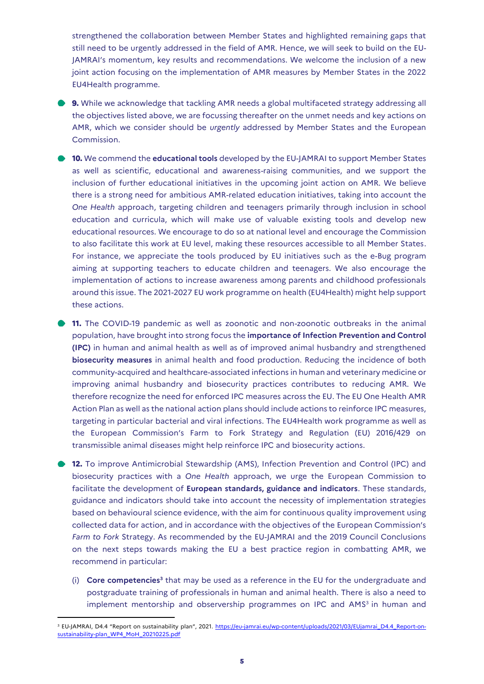strengthened the collaboration between Member States and highlighted remaining gaps that still need to be urgently addressed in the field of AMR. Hence, we will seek to build on the EU-JAMRAI's momentum, key results and recommendations. We welcome the inclusion of a new joint action focusing on the implementation of AMR measures by Member States in the 2022 EU4Health programme.

**9.** While we acknowledge that tackling AMR needs a global multifaceted strategy addressing all the objectives listed above, we are focussing thereafter on the unmet needs and key actions on AMR, which we consider should be *urgently* addressed by Member States and the European Commission.

**10.** We commend the **educational tools** developed by the EU-JAMRAI to support Member States as well as scientific, educational and awareness-raising communities, and we support the inclusion of further educational initiatives in the upcoming joint action on AMR. We believe there is a strong need for ambitious AMR-related education initiatives, taking into account the *One Health* approach, targeting children and teenagers primarily through inclusion in school education and curricula, which will make use of valuable existing tools and develop new educational resources. We encourage to do so at national level and encourage the Commission to also facilitate this work at EU level, making these resources accessible to all Member States. For instance, we appreciate the tools produced by EU initiatives such as the e-Bug program aiming at supporting teachers to educate children and teenagers. We also encourage the implementation of actions to increase awareness among parents and childhood professionals around this issue. The 2021-2027 EU work programme on health (EU4Health) might help support these actions.

**11.** The COVID-19 pandemic as well as zoonotic and non-zoonotic outbreaks in the animal population, have brought into strong focus the **importance of Infection Prevention and Control (IPC)** in human and animal health as well as of improved animal husbandry and strengthened **biosecurity measures** in animal health and food production. Reducing the incidence of both community-acquired and healthcare-associated infections in human and veterinary medicine or improving animal husbandry and biosecurity practices contributes to reducing AMR. We therefore recognize the need for enforced IPC measures across the EU. The EU One Health AMR Action Plan as well as the national action plans should include actions to reinforce IPC measures, targeting in particular bacterial and viral infections. The EU4Health work programme as well as the European Commission's Farm to Fork Strategy and Regulation (EU) 2016/429 on transmissible animal diseases might help reinforce IPC and biosecurity actions.

**12.** To improve Antimicrobial Stewardship (AMS), Infection Prevention and Control (IPC) and biosecurity practices with a *One Health* approach, we urge the European Commission to facilitate the development of **European standards, guidance and indicators**. These standards, guidance and indicators should take into account the necessity of implementation strategies based on behavioural science evidence, with the aim for continuous quality improvement using collected data for action, and in accordance with the objectives of the European Commission's *Farm to Fork* Strategy. As recommended by the EU-JAMRAI and the 2019 Council Conclusions on the next steps towards making the EU a best practice region in combatting AMR, we recommend in particular:

(i) **Core competencies<sup>3</sup>** that may be used as a reference in the EU for the undergraduate and postgraduate training of professionals in human and animal health. There is also a need to implement mentorship and observership programmes on IPC and AMS<sup>3</sup> in human and

**.** 

<sup>&</sup>lt;sup>3</sup> EU-JAMRAI, D4.4 "Report on sustainability plan", 2021. [https://eu-jamrai.eu/wp-content/uploads/2021/03/EUjamrai\\_D4.4\\_Report-on](https://eu-jamrai.eu/wp-content/uploads/2021/03/EUjamrai_D4.4_Report-on-sustainability-plan_WP4_MoH_20210225.pdf)[sustainability-plan\\_WP4\\_MoH\\_20210225.pdf](https://eu-jamrai.eu/wp-content/uploads/2021/03/EUjamrai_D4.4_Report-on-sustainability-plan_WP4_MoH_20210225.pdf)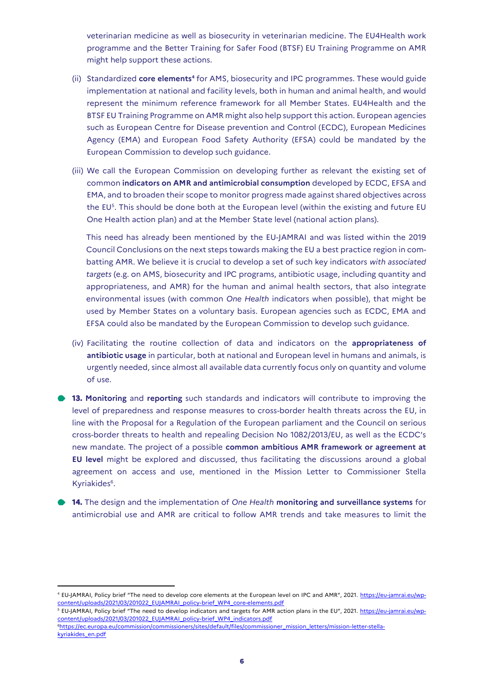veterinarian medicine as well as biosecurity in veterinarian medicine. The EU4Health work programme and the Better Training for Safer Food (BTSF) EU Training Programme on AMR might help support these actions.

- (ii) Standardized **core elements<sup>4</sup>** for AMS, biosecurity and IPC programmes. These would guide implementation at national and facility levels, both in human and animal health, and would represent the minimum reference framework for all Member States. EU4Health and the BTSF EU Training Programme on AMR might also help support this action. European agencies such as European Centre for Disease prevention and Control (ECDC), European Medicines Agency (EMA) and European Food Safety Authority (EFSA) could be mandated by the European Commission to develop such guidance.
- (iii) We call the European Commission on developing further as relevant the existing set of common **indicators on AMR and antimicrobial consumption** developed by ECDC, EFSA and EMA, and to broaden their scope to monitor progress made against shared objectives across the EU<sup>5</sup>. This should be done both at the European level (within the existing and future EU One Health action plan) and at the Member State level (national action plans).

This need has already been mentioned by the EU-JAMRAI and was listed within the 2019 Council Conclusions on the next steps towards making the EU a best practice region in combatting AMR. We believe it is crucial to develop a set of such key indicators *with associated targets* (e.g. on AMS, biosecurity and IPC programs, antibiotic usage, including quantity and appropriateness, and AMR) for the human and animal health sectors, that also integrate environmental issues (with common *One Health* indicators when possible), that might be used by Member States on a voluntary basis. European agencies such as ECDC, EMA and EFSA could also be mandated by the European Commission to develop such guidance.

- (iv) Facilitating the routine collection of data and indicators on the **appropriateness of antibiotic usage** in particular, both at national and European level in humans and animals, is urgently needed, since almost all available data currently focus only on quantity and volume of use.
- **13. Monitoring** and **reporting** such standards and indicators will contribute to improving the level of preparedness and response measures to cross-border health threats across the EU, in line with the Proposal for a Regulation of the European parliament and the Council on serious cross-border threats to health and repealing Decision No 1082/2013/EU, as well as the ECDC's new mandate. The project of a possible **common ambitious AMR framework or agreement at EU level** might be explored and discussed, thus facilitating the discussions around a global agreement on access and use, mentioned in the Mission Letter to Commissioner Stella Kyriakides<sup>6</sup>.
- **14.** The design and the implementation of *One Health* **monitoring and surveillance systems** for antimicrobial use and AMR are critical to follow AMR trends and take measures to limit the

<sup>5</sup> EU-JAMRAI, Policy brief "The need to develop indicators and targets for AMR action plans in the EU", 2021. [https://eu-jamrai.eu/wp](https://eu-jamrai.eu/wp-content/uploads/2021/03/201022_EUJAMRAI_policy-brief_WP4_indicators.pdf)[content/uploads/2021/03/201022\\_EUJAMRAI\\_policy-brief\\_WP4\\_indicators.pdf](https://eu-jamrai.eu/wp-content/uploads/2021/03/201022_EUJAMRAI_policy-brief_WP4_indicators.pdf)

<u>.</u>

<sup>4</sup> EU-JAMRAI, Policy brief "The need to develop core elements at the European level on IPC and AMR", 2021. [https://eu-jamrai.eu/wp](https://eu-jamrai.eu/wp-content/uploads/2021/03/201022_EUJAMRAI_policy-brief_WP4_core-elements.pdf)[content/uploads/2021/03/201022\\_EUJAMRAI\\_policy-brief\\_WP4\\_core-elements.pdf](https://eu-jamrai.eu/wp-content/uploads/2021/03/201022_EUJAMRAI_policy-brief_WP4_core-elements.pdf)

<sup>6</sup>[https://ec.europa.eu/commission/commissioners/sites/default/files/commissioner\\_mission\\_letters/mission-letter-stella](https://ec.europa.eu/commission/commissioners/sites/default/files/commissioner_mission_letters/mission-letter-stella-kyriakides_en.pdf)[kyriakides\\_en.pdf](https://ec.europa.eu/commission/commissioners/sites/default/files/commissioner_mission_letters/mission-letter-stella-kyriakides_en.pdf)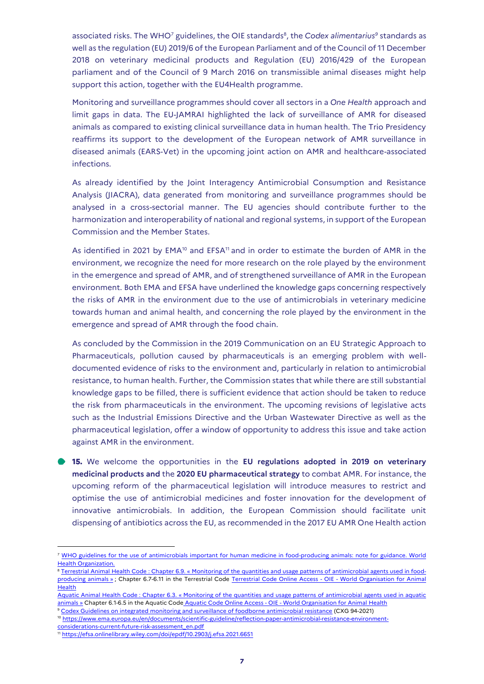associated risks. The WHO<sup>7</sup> guidelines, the OIE standards<sup>8</sup>, the *Codex alimentarius<sup>9</sup>* standards as well as the regulation (EU) 2019/6 of the European Parliament and of the Council of 11 December 2018 on veterinary medicinal products and Regulation (EU) 2016/429 of the European parliament and of the Council of 9 March 2016 on transmissible animal diseases might help support this action, together with the EU4Health programme.

Monitoring and surveillance programmes should cover all sectors in a *One Health* approach and limit gaps in data. The EU-JAMRAI highlighted the lack of surveillance of AMR for diseased animals as compared to existing clinical surveillance data in human health. The Trio Presidency reaffirms its support to the development of the European network of AMR surveillance in diseased animals (EARS-Vet) in the upcoming joint action on AMR and healthcare-associated infections.

As already identified by the Joint Interagency Antimicrobial Consumption and Resistance Analysis (JIACRA), data generated from monitoring and surveillance programmes should be analysed in a cross-sectorial manner. The EU agencies should contribute further to the harmonization and interoperability of national and regional systems, in support of the European Commission and the Member States.

As identified in 2021 by  $EMA^{10}$  and  $EFSA^{11}$  and in order to estimate the burden of AMR in the environment, we recognize the need for more research on the role played by the environment in the emergence and spread of AMR, and of strengthened surveillance of AMR in the European environment. Both EMA and EFSA have underlined the knowledge gaps concerning respectively the risks of AMR in the environment due to the use of antimicrobials in veterinary medicine towards human and animal health, and concerning the role played by the environment in the emergence and spread of AMR through the food chain.

As concluded by the Commission in the 2019 Communication on an EU Strategic Approach to Pharmaceuticals, pollution caused by pharmaceuticals is an emerging problem with welldocumented evidence of risks to the environment and, particularly in relation to antimicrobial resistance, to human health. Further, the Commission states that while there are still substantial knowledge gaps to be filled, there is sufficient evidence that action should be taken to reduce the risk from pharmaceuticals in the environment. The upcoming revisions of legislative acts such as the Industrial Emissions Directive and the Urban Wastewater Directive as well as the pharmaceutical legislation, offer a window of opportunity to address this issue and take action against AMR in the environment.

**15.** We welcome the opportunities in the **EU regulations adopted in 2019 on veterinary medicinal products and** the **2020 EU pharmaceutical strategy** to combat AMR. For instance, the upcoming reform of the pharmaceutical legislation will introduce measures to restrict and optimise the use of antimicrobial medicines and foster innovation for the development of innovative antimicrobials. In addition, the European Commission should facilitate unit dispensing of antibiotics across the EU, as recommended in the 2017 EU AMR One Health action

**.** 

<sup>7</sup> [WHO guidelines for the use of antimicrobials important for human medicine in food-producing animals: note for guidance. World](https://apps.who.int/iris/bitstream/handle/10665/259398/WHO-NMH-FOS-FZD-17.5-fre.pdf?sequence=1&isAllowed=y)  [Health Organization.](https://apps.who.int/iris/bitstream/handle/10665/259398/WHO-NMH-FOS-FZD-17.5-fre.pdf?sequence=1&isAllowed=y)

<sup>&</sup>lt;sup>8</sup> Terrestrial Animal Health Code : Chapter 6.9. « [Monitoring of the quantities and usage patterns of antimicrobial agents used in food](https://www.oie.int/en/what-we-do/standards/codes-and-manuals/terrestrial-code-online-access/?id=169&L=1&htmfile=chapitre_antibio_monitoring.htm)[producing animals](https://www.oie.int/en/what-we-do/standards/codes-and-manuals/terrestrial-code-online-access/?id=169&L=1&htmfile=chapitre_antibio_monitoring.htm) » ; Chapter 6.7-6.11 in the Terrestrial Code [Terrestrial Code Online Access -](https://urldefense.com/v3/__https:/www.oie.int/en/what-we-do/standards/codes-and-manuals/terrestrial-code-online-access/__;!!FiWPmuqhD5aF3oDTQnc!wcPVhXCUp_vzzkfeeA0TJz5lh3Aja73cw-nRpb0PG3LnU-FfQaEUCRXnBNZoHFsYfXQfuDNu_U0$) OIE - World Organisation for Animal **[Health](https://urldefense.com/v3/__https:/www.oie.int/en/what-we-do/standards/codes-and-manuals/terrestrial-code-online-access/__;!!FiWPmuqhD5aF3oDTQnc!wcPVhXCUp_vzzkfeeA0TJz5lh3Aja73cw-nRpb0PG3LnU-FfQaEUCRXnBNZoHFsYfXQfuDNu_U0$)** 

Aquatic Animal Health Code : Chapter 6.3. « [Monitoring of the quantities and usage patterns of antimicrobial agents used in aquatic](https://www.oie.int/en/what-we-do/standards/codes-and-manuals/aquatic-code-online-access/?id=169&L=1&htmfile=chapitre_antibio_quantities_usage_patterns.htm)  [animals](https://www.oie.int/en/what-we-do/standards/codes-and-manuals/aquatic-code-online-access/?id=169&L=1&htmfile=chapitre_antibio_quantities_usage_patterns.htm) » Chapter 6.1-6.5 in the Aquatic Code Aquatic Code Online Access - OIE - [World Organisation for Animal Health](https://urldefense.com/v3/__https:/www.oie.int/en/what-we-do/standards/codes-and-manuals/aquatic-code-online-access/__;!!FiWPmuqhD5aF3oDTQnc!wcPVhXCUp_vzzkfeeA0TJz5lh3Aja73cw-nRpb0PG3LnU-FfQaEUCRXnBNZoHFsYfXQfLE2RdJM$)

<sup>9</sup> [Codex Guidelines on integrated monitoring and surveillance of foodborne antimicrobial resistance](https://www.fao.org/fao-who-codexalimentarius/sh-proxy/en/?lnk=1&url=https%253A%252F%252Fworkspace.fao.org%252Fsites%252Fcodex%252FStandards%252FCXG%2B94-2021%252FCXG_94e.pdf) (CXG 94-2021) <sup>10</sup> [https://www.ema.europa.eu/en/documents/scientific-guideline/reflection-paper-antimicrobial-resistance-environment-](https://www.ema.europa.eu/en/documents/scientific-guideline/reflection-paper-antimicrobial-resistance-environment-considerations-current-future-risk-assessment_en.pdf)

[considerations-current-future-risk-assessment\\_en.pdf](https://www.ema.europa.eu/en/documents/scientific-guideline/reflection-paper-antimicrobial-resistance-environment-considerations-current-future-risk-assessment_en.pdf)

<sup>&</sup>lt;sup>11</sup> <https://efsa.onlinelibrary.wiley.com/doi/epdf/10.2903/j.efsa.2021.6651>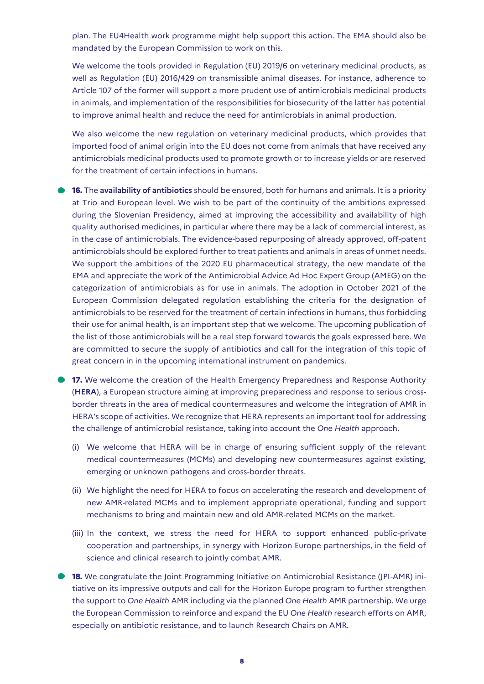plan. The EU4Health work programme might help support this action. The EMA should also be mandated by the European Commission to work on this.

We welcome the tools provided in Regulation (EU) 2019/6 on veterinary medicinal products, as well as Regulation (EU) 2016/429 on transmissible animal diseases. For instance, adherence to Article 107 of the former will support a more prudent use of antimicrobials medicinal products in animals, and implementation of the responsibilities for biosecurity of the latter has potential to improve animal health and reduce the need for antimicrobials in animal production.

We also welcome the new regulation on veterinary medicinal products, which provides that imported food of animal origin into the EU does not come from animals that have received any antimicrobials medicinal products used to promote growth or to increase yields or are reserved for the treatment of certain infections in humans.

- **16.** The **availability of antibiotics** should be ensured, both for humans and animals. It is a priority at Trio and European level. We wish to be part of the continuity of the ambitions expressed during the Slovenian Presidency, aimed at improving the accessibility and availability of high quality authorised medicines, in particular where there may be a lack of commercial interest, as in the case of antimicrobials. The evidence-based repurposing of already approved, off-patent antimicrobials should be explored further to treat patients and animals in areas of unmet needs. We support the ambitions of the 2020 EU pharmaceutical strategy, the new mandate of the EMA and appreciate the work of the Antimicrobial Advice Ad Hoc Expert Group (AMEG) on the categorization of antimicrobials as for use in animals. The adoption in October 2021 of the European Commission delegated regulation establishing the criteria for the designation of antimicrobials to be reserved for the treatment of certain infections in humans, thus forbidding their use for animal health, is an important step that we welcome. The upcoming publication of the list of those antimicrobials will be a real step forward towards the goals expressed here. We are committed to secure the supply of antibiotics and call for the integration of this topic of great concern in in the upcoming international instrument on pandemics.
- **17.** We welcome the creation of the Health Emergency Preparedness and Response Authority (**HERA**), a European structure aiming at improving preparedness and response to serious crossborder threats in the area of medical countermeasures and welcome the integration of AMR in HERA's scope of activities. We recognize that HERA represents an important tool for addressing the challenge of antimicrobial resistance, taking into account the *One Health* approach.
	- (i) We welcome that HERA will be in charge of ensuring sufficient supply of the relevant medical countermeasures (MCMs) and developing new countermeasures against existing, emerging or unknown pathogens and cross-border threats.
	- (ii) We highlight the need for HERA to focus on accelerating the research and development of new AMR-related MCMs and to implement appropriate operational, funding and support mechanisms to bring and maintain new and old AMR-related MCMs on the market.
	- (iii) In the context, we stress the need for HERA to support enhanced public-private cooperation and partnerships, in synergy with Horizon Europe partnerships, in the field of science and clinical research to jointly combat AMR.
- **18.** We congratulate the Joint Programming Initiative on Antimicrobial Resistance (JPI-AMR) initiative on its impressive outputs and call for the Horizon Europe program to further strengthen the support to *One Health* AMR including via the planned *One Health* AMR partnership. We urge the European Commission to reinforce and expand the EU *One Health* research efforts on AMR, especially on antibiotic resistance, and to launch Research Chairs on AMR.